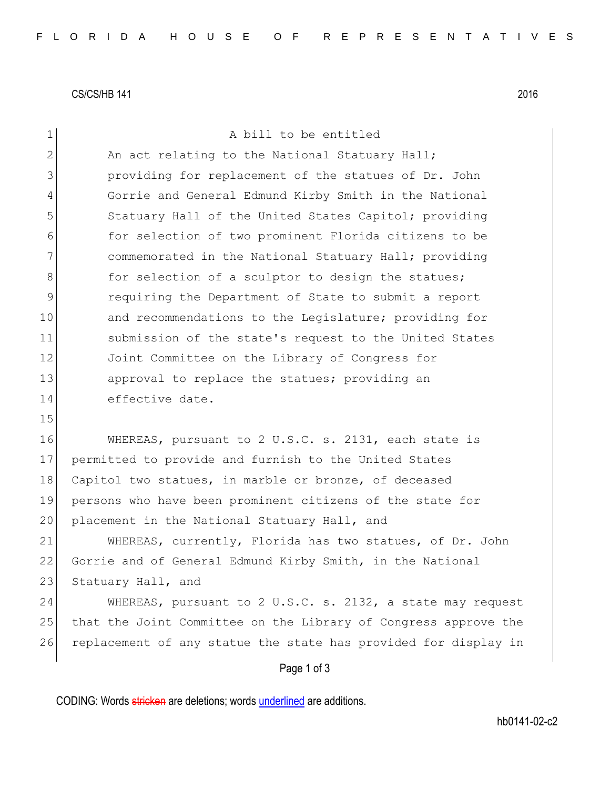CS/CS/HB 141 2016

| $\mathbf 1$   | A bill to be entitled                                           |
|---------------|-----------------------------------------------------------------|
| 2             | An act relating to the National Statuary Hall;                  |
| 3             | providing for replacement of the statues of Dr. John            |
| 4             | Gorrie and General Edmund Kirby Smith in the National           |
| 5             | Statuary Hall of the United States Capitol; providing           |
| 6             | for selection of two prominent Florida citizens to be           |
| 7             | commemorated in the National Statuary Hall; providing           |
| $8\,$         | for selection of a sculptor to design the statues;              |
| $\mathcal{G}$ | requiring the Department of State to submit a report            |
| 10            | and recommendations to the Legislature; providing for           |
| 11            | submission of the state's request to the United States          |
| 12            | Joint Committee on the Library of Congress for                  |
| 13            | approval to replace the statues; providing an                   |
| 14            | effective date.                                                 |
| 15            |                                                                 |
| 16            | WHEREAS, pursuant to 2 U.S.C. s. 2131, each state is            |
| 17            | permitted to provide and furnish to the United States           |
| 18            | Capitol two statues, in marble or bronze, of deceased           |
| 19            | persons who have been prominent citizens of the state for       |
| 20            | placement in the National Statuary Hall, and                    |
| 21            | WHEREAS, currently, Florida has two statues, of Dr. John        |
| 22            | Gorrie and of General Edmund Kirby Smith, in the National       |
| 23            | Statuary Hall, and                                              |
| 24            | WHEREAS, pursuant to 2 U.S.C. s. 2132, a state may request      |
| 25            | that the Joint Committee on the Library of Congress approve the |
| 26            | replacement of any statue the state has provided for display in |
|               | Page 1 of 3                                                     |

CODING: Words stricken are deletions; words underlined are additions.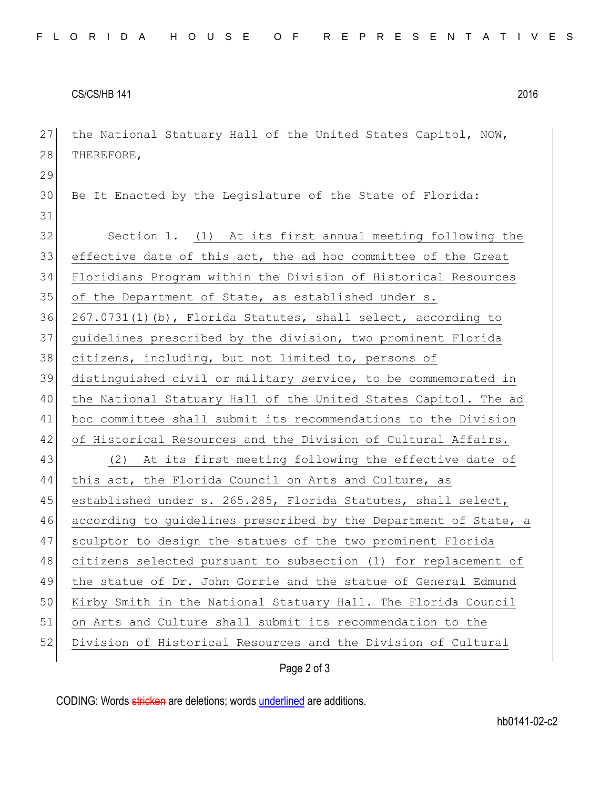CS/CS/HB 141 2016

27 the National Statuary Hall of the United States Capitol, NOW, 28 THEREFORE, 29 30 Be It Enacted by the Legislature of the State of Florida: 31 32 Section 1. (1) At its first annual meeting following the effective date of this act, the ad hoc committee of the Great Floridians Program within the Division of Historical Resources 35 of the Department of State, as established under s. 267.0731(1)(b), Florida Statutes, shall select, according to guidelines prescribed by the division, two prominent Florida citizens, including, but not limited to, persons of distinguished civil or military service, to be commemorated in the National Statuary Hall of the United States Capitol. The ad hoc committee shall submit its recommendations to the Division 42 of Historical Resources and the Division of Cultural Affairs. (2) At its first meeting following the effective date of this act, the Florida Council on Arts and Culture, as 45 established under s. 265.285, Florida Statutes, shall select, 46 according to guidelines prescribed by the Department of State, a sculptor to design the statues of the two prominent Florida citizens selected pursuant to subsection (1) for replacement of the statue of Dr. John Gorrie and the statue of General Edmund Kirby Smith in the National Statuary Hall. The Florida Council on Arts and Culture shall submit its recommendation to the Division of Historical Resources and the Division of Cultural

Page 2 of 3

CODING: Words stricken are deletions; words underlined are additions.